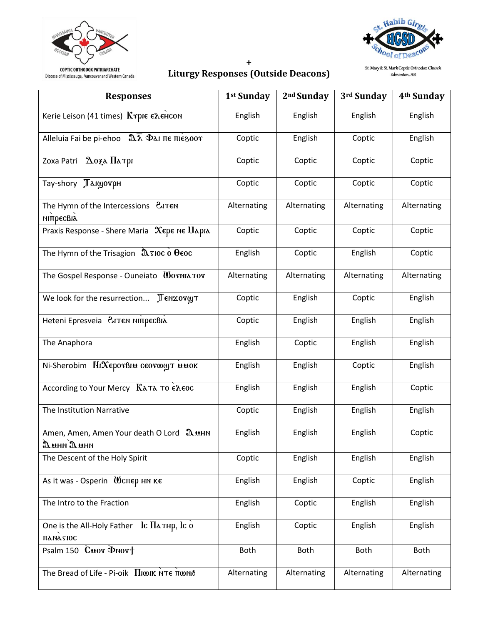



#### $\pmb{+}$ **Liturgy Responses (Outside Deacons)**

St. Mary & St. Mark Coptic Orthodox Church<br>Edmonton, AB

| <b>Responses</b>                                                                                                  | 1st Sunday  | 2 <sup>nd</sup> Sunday | 3rd Sunday  | 4 <sup>th</sup> Sunday |
|-------------------------------------------------------------------------------------------------------------------|-------------|------------------------|-------------|------------------------|
| Kerie Leison (41 times) Κτριε ελεHCON                                                                             | English     | English                | English     | English                |
| Alleluia Fai be pi-ehoo $\sqrt{2\lambda}$ Φλι πε πιεεροστ                                                         | Coptic      | English                | Coptic      | English                |
| $\Delta$ oza $\Pi$ atpi<br>Zoxa Patri                                                                             | Coptic      | Coptic                 | Coptic      | Coptic                 |
| Tay-shory Лаюютрн                                                                                                 | Coptic      | Coptic                 | Coptic      | Coptic                 |
| The Hymn of the Intercessions <i>CITEN</i><br>мітресвіх                                                           | Alternating | Alternating            | Alternating | Alternating            |
| Praxis Response - Shere Maria Xepe Ne Uapia                                                                       | Coptic      | Coptic                 | Coptic      | Coptic                 |
| The Hymn of the Trisagion $\hat{a}$ sioc o $\theta$ eoc                                                           | English     | Coptic                 | English     | Coptic                 |
| The Gospel Response - Ouneiato WornlaTor                                                                          | Alternating | Alternating            | Alternating | Alternating            |
| We look for the resurrection Ленхотут                                                                             | Coptic      | English                | Coptic      | English                |
| Heteni Epresveia ЗІТЕН НІПРЕСВІА                                                                                  | Coptic      | English                | English     | English                |
| The Anaphora                                                                                                      | English     | Coptic                 | English     | English                |
| Ni-Sherobim Πιλερον Βια σεονωωτ αποκ                                                                              | English     | English                | Coptic      | English                |
| According to Your Mercy Kλτλ το ελεος                                                                             | English     | English                | English     | Coptic                 |
| The Institution Narrative                                                                                         | Coptic      | English                | English     | English                |
| Amen, Amen, Amen Your death O Lord 2 MHN<br>$\mathfrak{D}$ <i>uhn</i> $\mathfrak{D}$ <i>uhn</i>                   | English     | English                | English     | Coptic                 |
| The Descent of the Holy Spirit                                                                                    | Coptic      | English                | English     | English                |
| As it was - Osperin $\mathbf W$ $\mathbf C$ $\mathbf T$ $\mathbf F$ $\mathbf F$ $\mathbf K$ $\mathbf F$           | English     | English                | Coptic      | English                |
| The Intro to the Fraction                                                                                         | English     | Coptic                 | English     | English                |
| One is the All-Holy Father $\operatorname{lc}\Pi$ $\Delta$ THp, $\operatorname{lc}\tilde{\mathbf{0}}$<br>Πληλτίος | English     | Coptic                 | English     | English                |
| Psalm 150 Cuor Pnort                                                                                              | <b>Both</b> | Both                   | <b>Both</b> | <b>Both</b>            |
| The Bread of Life - Pi-oik Πιωικ NTE πωΝΑ                                                                         | Alternating | Alternating            | Alternating | Alternating            |